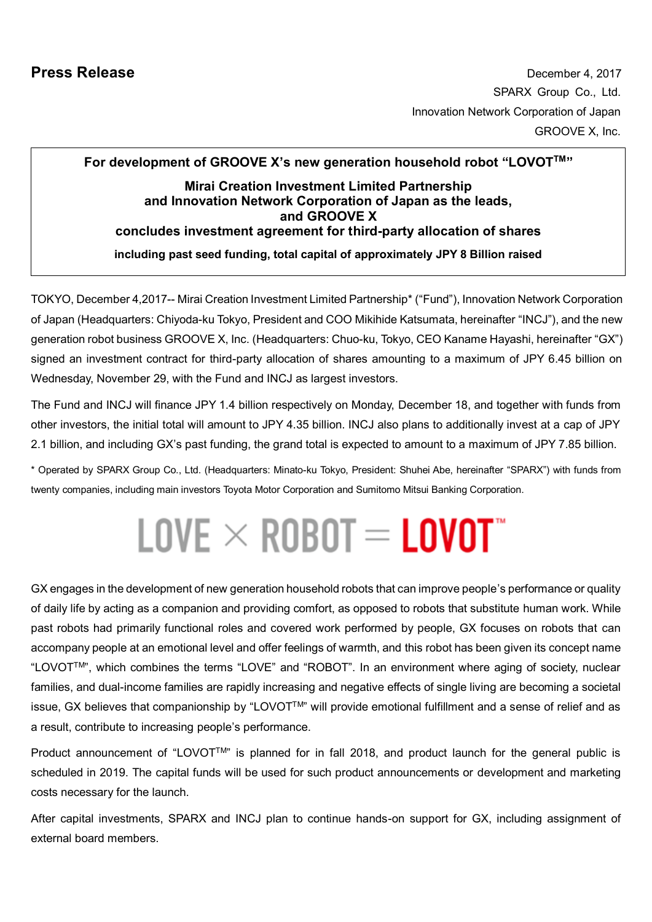# **For development of GROOVE X's new generation household robot "LOVOTTM" Mirai Creation Investment Limited Partnership and Innovation Network Corporation of Japan as the leads, and GROOVE X concludes investment agreement for third-party allocation of shares including past seed funding, total capital of approximately JPY 8 Billion raised**

TOKYO, December 4,2017-- Mirai Creation Investment Limited Partnership\* ("Fund"), Innovation Network Corporation of Japan (Headquarters: Chiyoda-ku Tokyo, President and COO Mikihide Katsumata, hereinafter "INCJ"), and the new generation robot business GROOVE X, Inc. (Headquarters: Chuo-ku, Tokyo, CEO Kaname Hayashi, hereinafter "GX") signed an investment contract for third-party allocation of shares amounting to a maximum of JPY 6.45 billion on Wednesday, November 29, with the Fund and INCJ as largest investors.

The Fund and INCJ will finance JPY 1.4 billion respectively on Monday, December 18, and together with funds from other investors, the initial total will amount to JPY 4.35 billion. INCJ also plans to additionally invest at a cap of JPY 2.1 billion, and including GX's past funding, the grand total is expected to amount to a maximum of JPY 7.85 billion.

\* Operated by SPARX Group Co., Ltd. (Headquarters: Minato-ku Tokyo, President: Shuhei Abe, hereinafter "SPARX") with funds from twenty companies, including main investors Toyota Motor Corporation and Sumitomo Mitsui Banking Corporation.

# $\mathsf{LOVE}\times\mathsf{ROB0T}=\mathsf{LOV0T}^*$

GX engages in the development of new generation household robots that can improve people's performance or quality of daily life by acting as a companion and providing comfort, as opposed to robots that substitute human work. While past robots had primarily functional roles and covered work performed by people, GX focuses on robots that can accompany people at an emotional level and offer feelings of warmth, and this robot has been given its concept name "LOVOTTM", which combines the terms "LOVE" and "ROBOT". In an environment where aging of society, nuclear families, and dual-income families are rapidly increasing and negative effects of single living are becoming a societal issue, GX believes that companionship by "LOVOTTM" will provide emotional fulfillment and a sense of relief and as a result, contribute to increasing people's performance.

Product announcement of "LOVOT<sup>TM</sup>" is planned for in fall 2018, and product launch for the general public is scheduled in 2019. The capital funds will be used for such product announcements or development and marketing costs necessary for the launch.

After capital investments, SPARX and INCJ plan to continue hands-on support for GX, including assignment of external board members.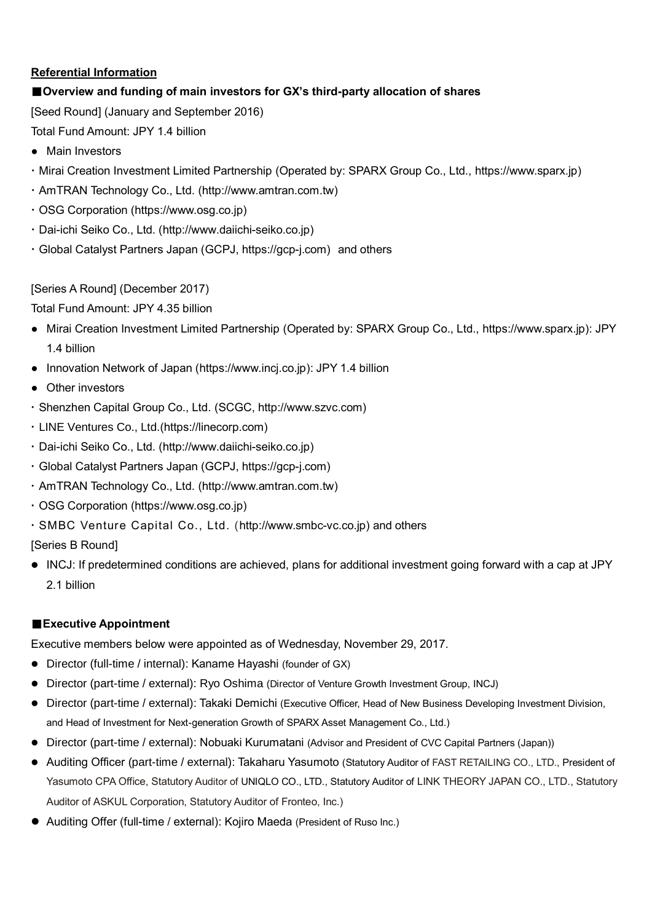# **Referential Information**

# ■**Overview and funding of main investors for GX's third-party allocation of shares**

[Seed Round] (January and September 2016)

Total Fund Amount: JPY 1.4 billion

- Main Investors
- Mirai Creation Investment Limited Partnership (Operated by: SPARX Group Co., Ltd., [https://www.sparx.jp\)](https://www.sparx.jp）)
- AmTRAN Technology Co., Ltd. [\(http://www.amtran.com.tw\)](http://www.amtran.com.tw/?lang=en)
- OSG Corporation [\(https://www.osg.co.jp\)](https://www.osg.co.jp/)
- Dai-ichi Seiko Co., Ltd. [\(http://www.daiichi-seiko.co.jp\)](http://www.daiichi-seiko.co.jp/)
- Global Catalyst Partners Japan (GCPJ, [https://gcp-j.com\)](https://gcp-j.com/) and others

# [Series A Round] (December 2017)

Total Fund Amount: JPY 4.35 billion

- Mirai Creation Investment Limited Partnership (Operated by: SPARX Group Co., Ltd., [https://www.sparx.jp\):](https://www.sparx.jp）) JPY 1.4 billion
- Innovation Network of Japan [\(https://www.incj.co.jp\):](https://www.incj.co.jp/index.html）：14) JPY 1.4 billion
- Other investors
- Shenzhen Capital Group Co., Ltd. (SCGC, [http://www.szvc.com\)](http://www.szvc.com/)
- LINE Ventures Co., Ltd.[\(https://linecorp.com\)](https://linecorp.com/)
- Dai-ichi Seiko Co., Ltd. [\(http://www.daiichi-seiko.co.jp\)](http://www.daiichi-seiko.co.jp/)
- Global Catalyst Partners Japan (GCPJ, [https://gcp-j.com\)](https://gcp-j.com/)
- AmTRAN Technology Co., Ltd. [\(http://www.amtran.com.tw\)](http://www.amtran.com.tw/?lang=en)
- OSG Corporation [\(https://www.osg.co.jp\)](https://www.osg.co.jp/)
- SMBC Venture Capital Co., Ltd. [\(http://www.smbc-vc.co.jp\)](http://www.smbc-vc.co.jp/) and others

[Series B Round]

 INCJ: If predetermined conditions are achieved, plans for additional investment going forward with a cap at JPY 2.1 billion

# ■**Executive Appointment**

Executive members below were appointed as of Wednesday, November 29, 2017.

- Director (full-time / internal): Kaname Hayashi (founder of GX)
- Director (part-time / external): Ryo Oshima (Director of Venture Growth Investment Group, INCJ)
- Director (part-time / external): Takaki Demichi (Executive Officer, Head of New Business Developing Investment Division, and Head of Investment for Next-generation Growth of SPARX Asset Management Co., Ltd.)
- Director (part-time / external): Nobuaki Kurumatani (Advisor and President of CVC Capital Partners (Japan))
- Auditing Officer (part-time / external): Takaharu Yasumoto (Statutory Auditor of FAST RETAILING CO., LTD., President of Yasumoto CPA Office, Statutory Auditor of UNIQLO CO., LTD., Statutory Auditor of LINK THEORY JAPAN CO., LTD., Statutory Auditor of ASKUL Corporation, Statutory Auditor of Fronteo, Inc.)
- Auditing Offer (full-time / external): Kojiro Maeda (President of Ruso Inc.)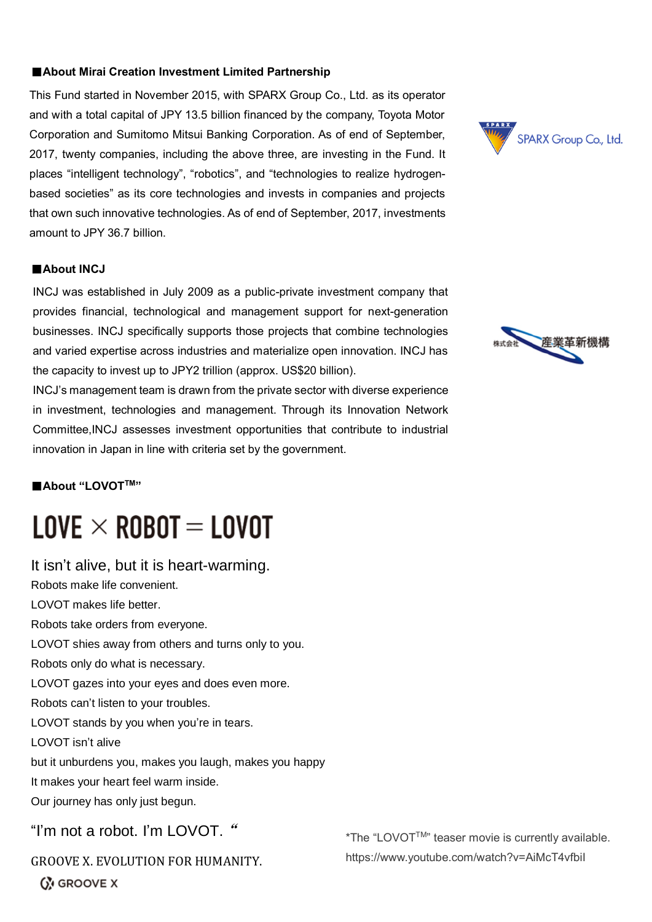#### ■**About Mirai Creation Investment Limited Partnership**

This Fund started in November 2015, with SPARX Group Co., Ltd. as its operator and with a total capital of JPY 13.5 billion financed by the company, Toyota Motor Corporation and Sumitomo Mitsui Banking Corporation. As of end of September, 2017, twenty companies, including the above three, are investing in the Fund. It places "intelligent technology", "robotics", and "technologies to realize hydrogenbased societies" as its core technologies and invests in companies and projects that own such innovative technologies. As of end of September, 2017, investments amount to JPY 36.7 billion.

#### ■**About INCJ**

INCJ was established in July 2009 as a public-private investment company that provides financial, technological and management support for next-generation businesses. INCJ specifically supports those projects that combine technologies and varied expertise across industries and materialize open innovation. INCJ has the capacity to invest up to JPY2 trillion (approx. US\$20 billion).

INCJ's management team is drawn from the private sector with diverse experience in investment, technologies and management. Through its Innovation Network Committee,INCJ assesses investment opportunities that contribute to industrial innovation in Japan in line with criteria set by the government.

■**About "LOVOTTM"**

# $LOVE \times ROBOT = LOVOT$

It isn't alive, but it is heart-warming. Robots make life convenient. LOVOT makes life better. Robots take orders from everyone. LOVOT shies away from others and turns only to you. Robots only do what is necessary. LOVOT gazes into your eyes and does even more. Robots can't listen to your troubles. LOVOT stands by you when you're in tears. LOVOT isn't alive but it unburdens you, makes you laugh, makes you happy It makes your heart feel warm inside. Our journey has only just begun. "I'm not a robot. I'm LOVOT. "

GROOVE X. EVOLUTION FOR HUMANITY.

**GN GROOVE X** 





\*The "LOVOTTM" teaser movie is currently available. https://www.youtube.com/watch?v=AiMcT4vfbiI